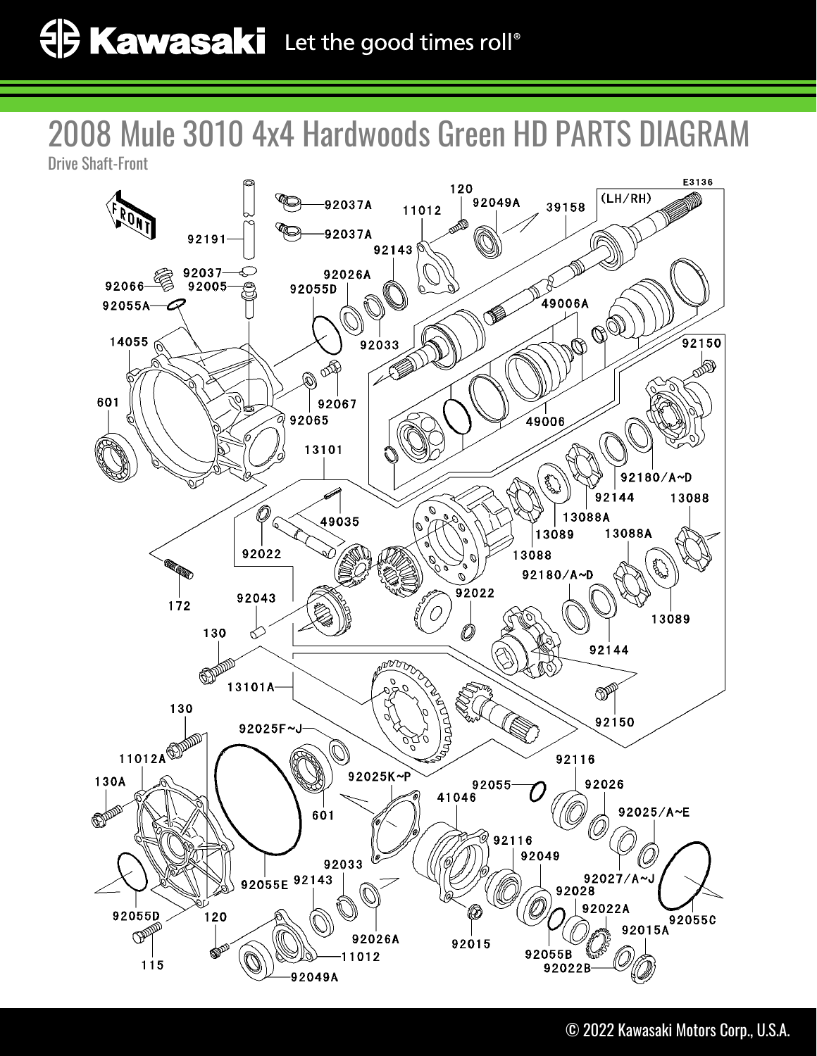2008 Mule 3010 4x4 Hardwoods Green HD PARTS DIAGRAM Drive Shaft-Front

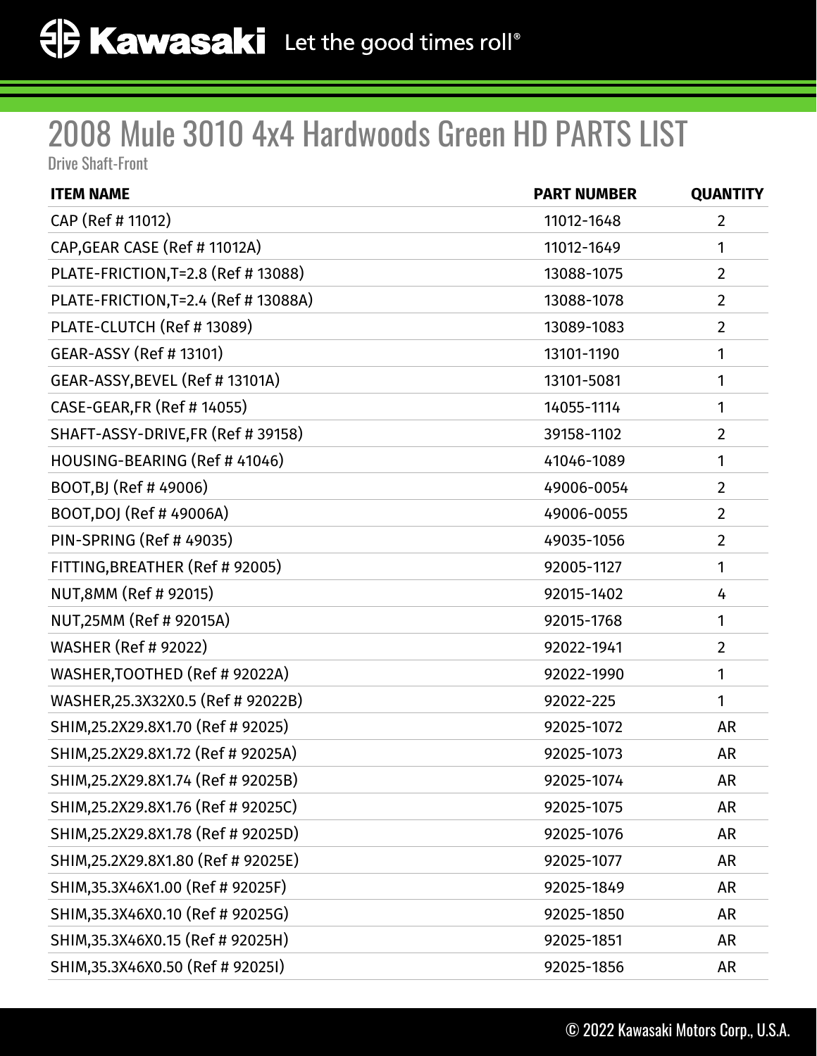## 2008 Mule 3010 4x4 Hardwoods Green HD PARTS LIST

Drive Shaft-Front

| <b>ITEM NAME</b>                     | <b>PART NUMBER</b> | <b>QUANTITY</b> |
|--------------------------------------|--------------------|-----------------|
| CAP (Ref # 11012)                    | 11012-1648         | $\overline{2}$  |
| CAP, GEAR CASE (Ref # 11012A)        | 11012-1649         | 1               |
| PLATE-FRICTION, T=2.8 (Ref # 13088)  | 13088-1075         | $\overline{2}$  |
| PLATE-FRICTION, T=2.4 (Ref # 13088A) | 13088-1078         | $\overline{2}$  |
| PLATE-CLUTCH (Ref # 13089)           | 13089-1083         | $\overline{2}$  |
| <b>GEAR-ASSY (Ref #13101)</b>        | 13101-1190         | 1               |
| GEAR-ASSY, BEVEL (Ref # 13101A)      | 13101-5081         | 1               |
| <b>CASE-GEAR, FR (Ref #14055)</b>    | 14055-1114         | 1               |
| SHAFT-ASSY-DRIVE, FR (Ref # 39158)   | 39158-1102         | $\overline{2}$  |
| HOUSING-BEARING (Ref # 41046)        | 41046-1089         | 1               |
| BOOT, BJ (Ref #49006)                | 49006-0054         | $\overline{2}$  |
| BOOT, DOJ (Ref # 49006A)             | 49006-0055         | $\overline{2}$  |
| <b>PIN-SPRING (Ref #49035)</b>       | 49035-1056         | $\overline{2}$  |
| FITTING, BREATHER (Ref # 92005)      | 92005-1127         | 1               |
| NUT,8MM (Ref # 92015)                | 92015-1402         | 4               |
| NUT,25MM (Ref # 92015A)              | 92015-1768         | 1               |
| <b>WASHER (Ref # 92022)</b>          | 92022-1941         | $\overline{2}$  |
| WASHER, TOOTHED (Ref # 92022A)       | 92022-1990         | 1               |
| WASHER, 25.3X32X0.5 (Ref # 92022B)   | 92022-225          | 1               |
| SHIM, 25.2X29.8X1.70 (Ref # 92025)   | 92025-1072         | <b>AR</b>       |
| SHIM, 25.2X29.8X1.72 (Ref # 92025A)  | 92025-1073         | <b>AR</b>       |
| SHIM, 25.2X29.8X1.74 (Ref # 92025B)  | 92025-1074         | AR              |
| SHIM, 25.2X29.8X1.76 (Ref # 92025C)  | 92025-1075         | <b>AR</b>       |
| SHIM, 25.2X29.8X1.78 (Ref # 92025D)  | 92025-1076         | <b>AR</b>       |
| SHIM, 25.2X29.8X1.80 (Ref # 92025E)  | 92025-1077         | <b>AR</b>       |
| SHIM, 35.3X46X1.00 (Ref # 92025F)    | 92025-1849         | <b>AR</b>       |
| SHIM, 35.3X46X0.10 (Ref # 92025G)    | 92025-1850         | <b>AR</b>       |
| SHIM, 35.3X46X0.15 (Ref # 92025H)    | 92025-1851         | <b>AR</b>       |
| SHIM, 35.3X46X0.50 (Ref # 92025I)    | 92025-1856         | <b>AR</b>       |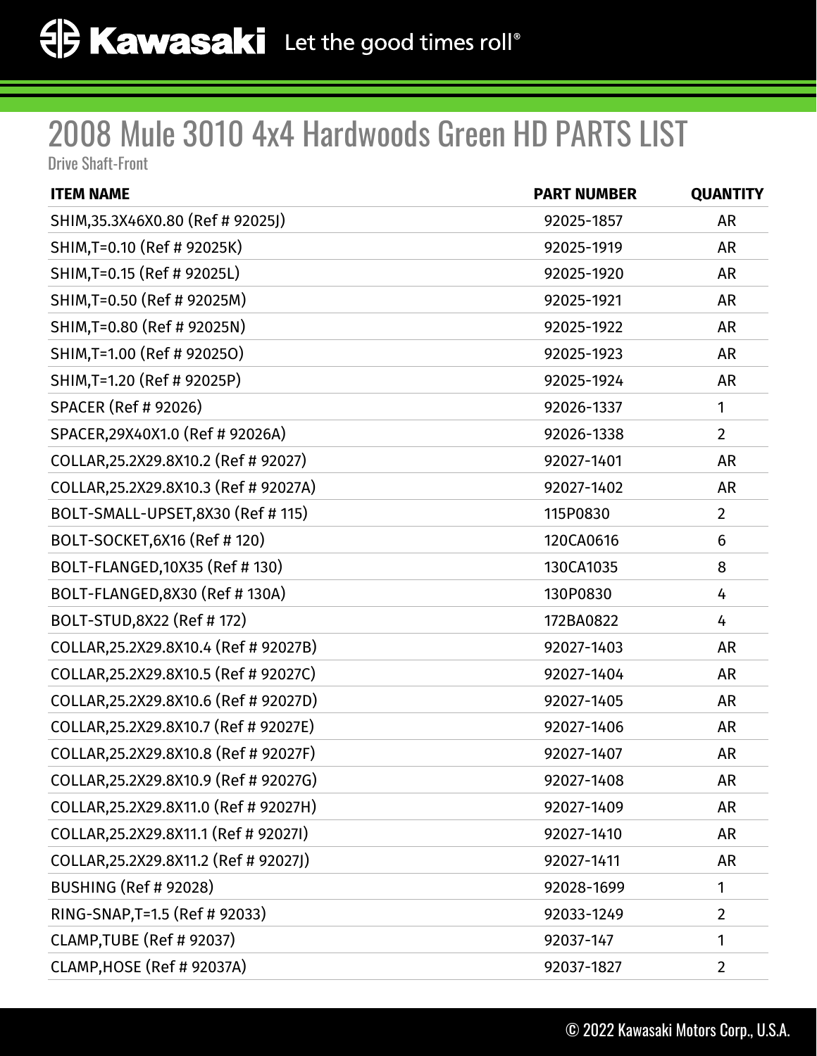## 2008 Mule 3010 4x4 Hardwoods Green HD PARTS LIST

Drive Shaft-Front

| <b>ITEM NAME</b>                      | <b>PART NUMBER</b> | <b>QUANTITY</b> |
|---------------------------------------|--------------------|-----------------|
| SHIM, 35.3X46X0.80 (Ref # 92025J)     | 92025-1857         | <b>AR</b>       |
| SHIM, T=0.10 (Ref # 92025K)           | 92025-1919         | <b>AR</b>       |
| SHIM, T=0.15 (Ref # 92025L)           | 92025-1920         | <b>AR</b>       |
| SHIM, T=0.50 (Ref # 92025M)           | 92025-1921         | <b>AR</b>       |
| SHIM, T=0.80 (Ref # 92025N)           | 92025-1922         | <b>AR</b>       |
| SHIM, T=1.00 (Ref # 920250)           | 92025-1923         | <b>AR</b>       |
| SHIM, T=1.20 (Ref # 92025P)           | 92025-1924         | <b>AR</b>       |
| <b>SPACER (Ref # 92026)</b>           | 92026-1337         | 1               |
| SPACER, 29X40X1.0 (Ref # 92026A)      | 92026-1338         | $\overline{2}$  |
| COLLAR, 25.2X29.8X10.2 (Ref # 92027)  | 92027-1401         | <b>AR</b>       |
| COLLAR, 25.2X29.8X10.3 (Ref # 92027A) | 92027-1402         | <b>AR</b>       |
| BOLT-SMALL-UPSET,8X30 (Ref # 115)     | 115P0830           | $\overline{2}$  |
| BOLT-SOCKET, 6X16 (Ref # 120)         | 120CA0616          | 6               |
| BOLT-FLANGED, 10X35 (Ref # 130)       | 130CA1035          | 8               |
| BOLT-FLANGED,8X30 (Ref # 130A)        | 130P0830           | 4               |
| BOLT-STUD, 8X22 (Ref # 172)           | 172BA0822          | 4               |
| COLLAR, 25.2X29.8X10.4 (Ref # 92027B) | 92027-1403         | <b>AR</b>       |
| COLLAR, 25.2X29.8X10.5 (Ref # 92027C) | 92027-1404         | <b>AR</b>       |
| COLLAR, 25.2X29.8X10.6 (Ref # 92027D) | 92027-1405         | <b>AR</b>       |
| COLLAR, 25.2X29.8X10.7 (Ref # 92027E) | 92027-1406         | <b>AR</b>       |
| COLLAR, 25.2X29.8X10.8 (Ref # 92027F) | 92027-1407         | AR              |
| COLLAR, 25.2X29.8X10.9 (Ref # 92027G) | 92027-1408         | <b>AR</b>       |
| COLLAR, 25.2X29.8X11.0 (Ref # 92027H) | 92027-1409         | <b>AR</b>       |
| COLLAR, 25.2X29.8X11.1 (Ref # 920271) | 92027-1410         | <b>AR</b>       |
| COLLAR, 25.2X29.8X11.2 (Ref # 92027J) | 92027-1411         | <b>AR</b>       |
| <b>BUSHING (Ref # 92028)</b>          | 92028-1699         | 1               |
| RING-SNAP, T=1.5 (Ref # 92033)        | 92033-1249         | $\overline{2}$  |
| CLAMP, TUBE (Ref # 92037)             | 92037-147          | 1               |
| CLAMP, HOSE (Ref # 92037A)            | 92037-1827         | $\overline{2}$  |